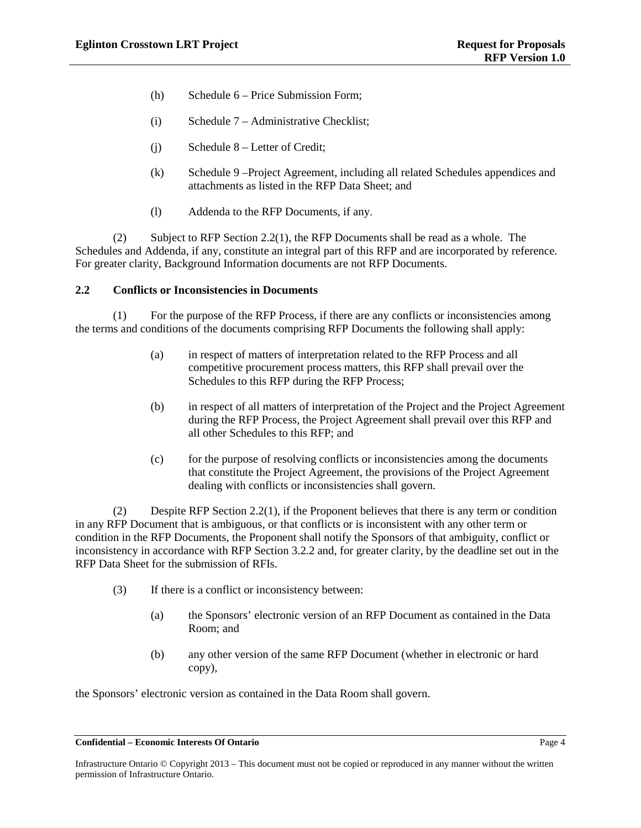- (h) Schedule 6 Price Submission Form;
- (i) Schedule 7 Administrative Checklist;
- (j) Schedule 8 Letter of Credit;
- (k) Schedule 9 –Project Agreement, including all related Schedules appendices and attachments as listed in the RFP Data Sheet; and
- (l) Addenda to the RFP Documents, if any.

(2) Subject to RFP Section [2.2\(1\),](#page-8-0) the RFP Documents shall be read as a whole. The Schedules and Addenda, if any, constitute an integral part of this RFP and are incorporated by reference. For greater clarity, Background Information documents are not RFP Documents.

### **2.2 Conflicts or Inconsistencies in Documents**

<span id="page-8-0"></span>(1) For the purpose of the RFP Process, if there are any conflicts or inconsistencies among the terms and conditions of the documents comprising RFP Documents the following shall apply:

- (a) in respect of matters of interpretation related to the RFP Process and all competitive procurement process matters, this RFP shall prevail over the Schedules to this RFP during the RFP Process;
- (b) in respect of all matters of interpretation of the Project and the Project Agreement during the RFP Process, the Project Agreement shall prevail over this RFP and all other Schedules to this RFP; and rposeof the RFP Process, if there are any conflicts or<br>f the documents comprising RFP Documents the follow<br>respect of matters of interpretation related to the RFF<br>sympetitive procurement process matters, this RFP shall<br>ch
- (c) for the purpose of resolving conflicts or inconsistencies among the documents that constitute the Project Agreement, the provisions of the Project Agreement dealing with conflicts or inconsistencies shall govern.

(2) Despite RFP Section 2.2(1), if the Proponent believes that there is any term or condition in any RFP Document that is ambiguous, or that conflicts or is inconsistent with any other term or condition in the RFP Documents, the Proponent shall notify the Sponsors of that ambiguity, conflict or inconsistency in accordance with RFP Sectio[n 3.2.2](#page-11-0) and, for greater clarity, by the deadline set out in the RFP Data Sheet for the submission of RFIs.

- (3) If there is a conflict or inconsistency between:
	- (a) the Sponsors' electronic version of an RFP Document as contained in the Data Room; and
	- (b) any other version of the same RFP Document (whether in electronic or hard copy),

the Sponsors' electronic version as contained in the Data Room shall govern.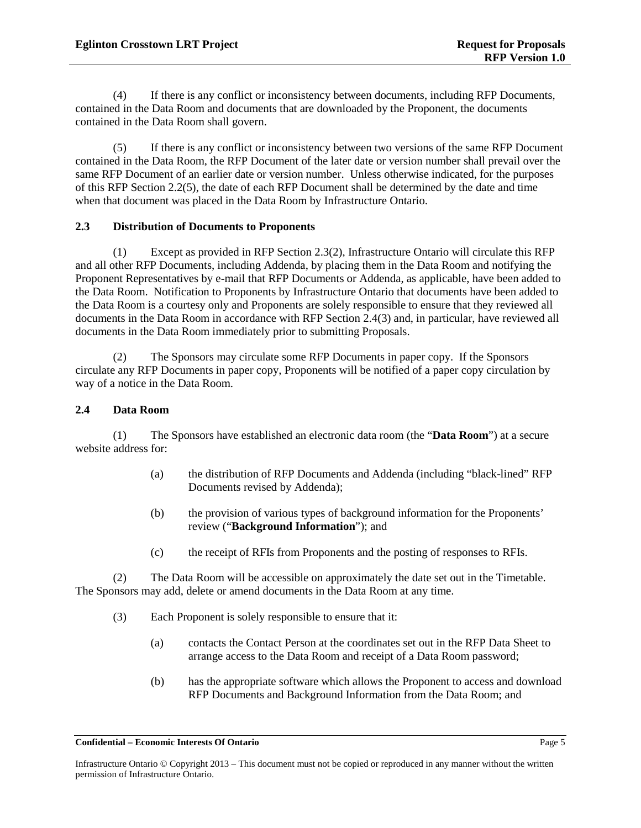(4) If there is any conflict or inconsistency between documents, including RFP Documents, contained in the Data Room and documents that are downloaded by the Proponent, the documents contained in the Data Room shall govern.

<span id="page-9-0"></span>(5) If there is any conflict or inconsistency between two versions of the same RFP Document contained in the Data Room, the RFP Document of the later date or version number shall prevail over the same RFP Document of an earlier date or version number. Unless otherwise indicated, for the purposes of this RFP Sectio[n 2.2\(5\),](#page-9-0) the date of each RFP Document shall be determined by the date and time when that document was placed in the Data Room by Infrastructure Ontario.

## **2.3 Distribution of Documents to Proponents**

(1) Except as provided in RFP Section [2.3\(2\),](#page-9-1) Infrastructure Ontario will circulate this RFP and all other RFP Documents, including Addenda, by placing them in the Data Room and notifying the Proponent Representatives by e-mail that RFP Documents or Addenda, as applicable, have been added to the Data Room. Notification to Proponents by Infrastructure Ontario that documents have been added to the Data Room is a courtesy only and Proponents are solely responsible to ensure that they reviewed all documents in the Data Room in accordance with RFP Section 2.4(3) and, in particular, have reviewed all documents in the Data Room immediately prior to submitting Proposals. For a Frepondical Summary and Proponents are solely responsible to engage<br>for in accordance with RFP Section 2.4(3) and the parameter in accordance with RFP Section 2.4(3) and the parameter<br>form immediately prior to submit

<span id="page-9-1"></span>(2) The Sponsors may circulate some RFP Documents in paper copy. If the Sponsors circulate any RFP Documents in paper copy, Proponents will be notified of a paper copy circulation by way of a notice in the Data Room.

### **2.4 Data Room**

(1) The Sponsors have established an electronic data room (the "**Data Room**") at a secure website address for:

- (a) the distribution of RFP Documents and Addenda (including "black-lined" RFP Documents revised by Addenda);
- (b) the provision of various types of background information for the Proponents' review ("**Background Information**"); and
- (c) the receipt of RFIs from Proponents and the posting of responses to RFIs.

<span id="page-9-2"></span>(2) The Data Room will be accessible on approximately the date set out in the Timetable. The Sponsors may add, delete or amend documents in the Data Room at any time.

- (3) Each Proponent is solely responsible to ensure that it:
	- (a) contacts the Contact Person at the coordinates set out in the RFP Data Sheet to arrange access to the Data Room and receipt of a Data Room password;
	- (b) has the appropriate software which allows the Proponent to access and download RFP Documents and Background Information from the Data Room; and

Infrastructure Ontario © Copyright 2013 – This document must not be copied or reproduced in any manner without the written permission of Infrastructure Ontario.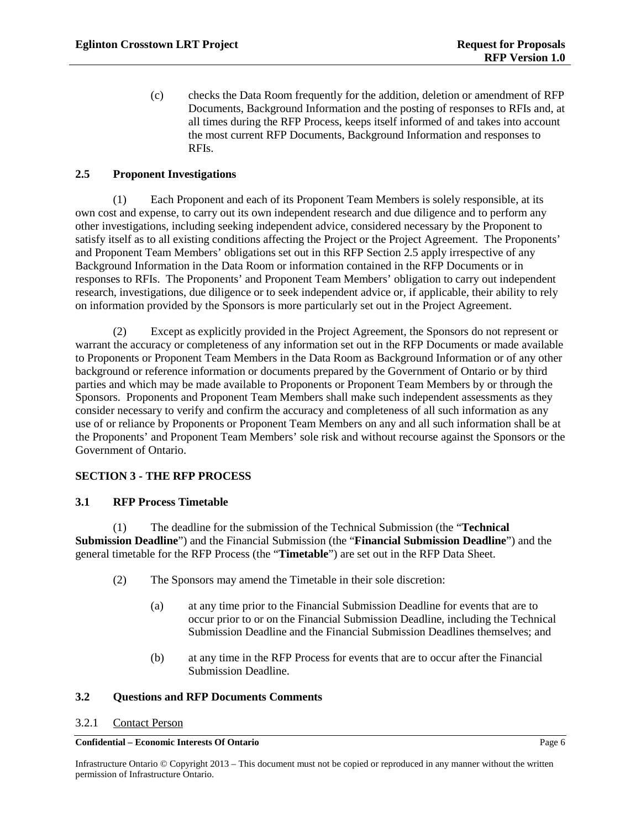(c) checks the Data Room frequently for the addition, deletion or amendment of RFP Documents, Background Information and the posting of responses to RFIs and, at all times during the RFP Process, keeps itself informed of and takes into account the most current RFP Documents, Background Information and responses to RFIs.

#### <span id="page-10-0"></span>**2.5 Proponent Investigations**

(1) Each Proponent and each of its Proponent Team Members is solely responsible, at its own cost and expense, to carry out its own independent research and due diligence and to perform any other investigations, including seeking independent advice, considered necessary by the Proponent to satisfy itself as to all existing conditions affecting the Project or the Project Agreement. The Proponents' and Proponent Team Members' obligations set out in this RFP Section [2.5](#page-10-0) apply irrespective of any Background Information in the Data Room or information contained in the RFP Documents or in responses to RFIs. The Proponents' and Proponent Team Members' obligation to carry out independent research, investigations, due diligence or to seek independent advice or, if applicable, their ability to rely on information provided by the Sponsors is more particularly set out in the Project Agreement.

(2) Except as explicitly provided in the Project Agreement, the Sponsors do not represent or warrant the accuracy or completeness of any information set out in the RFP Documents or made available to Proponents or Proponent Team Members in the Data Room as Background Information or of any other background or reference information or documents prepared by the Government of Ontario or by third parties and which may be made available to Proponents or Proponent Team Members by or through the Sponsors. Proponents and Proponent Team Members shall make such independent assessments as they consider necessary to verify and confirm the accuracy and completeness of all such information as any use of or reliance by Proponents or Proponent Team Members on any and all such information shall be at the Proponents' and Proponent Team Members' sole risk and without recourse against the Sponsors or the Government of Ontario. For Information of the Technical Submission (the Submission of the submission of the Submission of the Technical Submission of the Technical Submission (for the submission of the submission of the Technical Submission (for

## **SECTION 3 - THE RFP PROCESS**

# **3.1 RFP Process Timetable**

<span id="page-10-2"></span>(1) The deadline for the submission of the Technical Submission (the "**Technical Submission Deadline**") and the Financial Submission (the "**Financial Submission Deadline**") and the general timetable for the RFP Process (the "**Timetable**") are set out in the RFP Data Sheet.

- (2) The Sponsors may amend the Timetable in their sole discretion:
	- (a) at any time prior to the Financial Submission Deadline for events that are to occur prior to or on the Financial Submission Deadline, including the Technical Submission Deadline and the Financial Submission Deadlines themselves; and
	- (b) at any time in the RFP Process for events that are to occur after the Financial Submission Deadline.

#### **3.2 Questions and RFP Documents Comments**

#### <span id="page-10-1"></span>3.2.1 Contact Person

#### **Confidential – Economic Interests Of Ontario** Page 6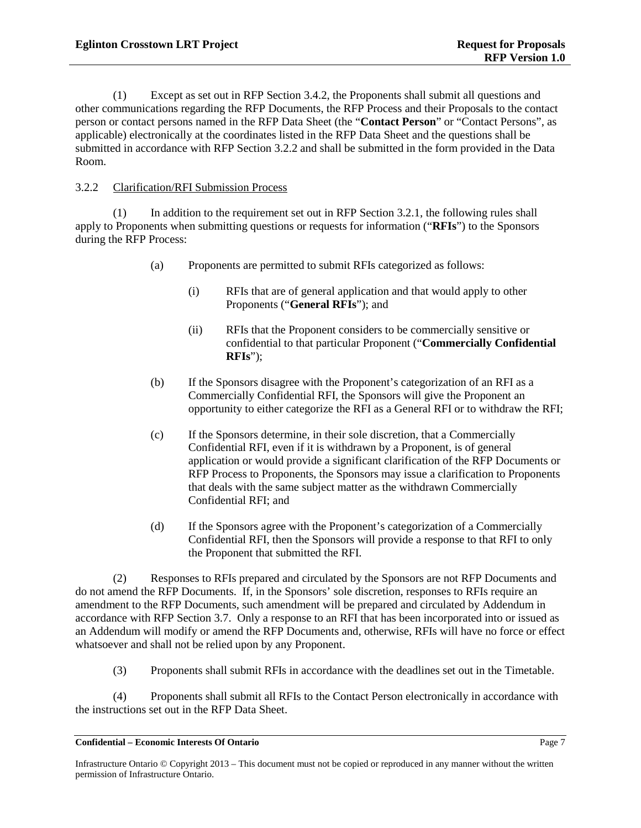(1) Except as set out in RFP Section [3.4.2,](#page-14-0) the Proponents shall submit all questions and other communications regarding the RFP Documents, the RFP Process and their Proposals to the contact person or contact persons named in the RFP Data Sheet (the "**Contact Person**" or "Contact Persons", as applicable) electronically at the coordinates listed in the RFP Data Sheet and the questions shall be submitted in accordance with RFP Section [3.2.2](#page-11-0) and shall be submitted in the form provided in the Data Room.

## <span id="page-11-0"></span>3.2.2 Clarification/RFI Submission Process

(1) In addition to the requirement set out in RFP Section [3.2.1,](#page-10-1) the following rules shall apply to Proponents when submitting questions or requests for information ("**RFIs**") to the Sponsors during the RFP Process:

- (a) Proponents are permitted to submit RFIs categorized as follows:
	- (i) RFIs that are of general application and that would apply to other Proponents ("**General RFIs**"); and
	- (ii) RFIs that the Proponent considers to be commercially sensitive or confidential to that particular Proponent ("**Commercially Confidential RFIs**");
- (b) If the Sponsors disagree with the Proponent's categorization of an RFI as a Commercially Confidential RFI, the Sponsors will give the Proponent an opportunity to either categorize the RFI as a General RFI or to withdraw the RFI;
- (c) If the Sponsors determine, in their sole discretion, that a Commercially Confidential RFI, even if it is withdrawn by a Proponent, is of general application or would provide a significant clarification of the RFP Documents or RFP Process to Proponents, the Sponsors may issue a clarification to Proponents that deals with the same subject matter as the withdrawn Commercially Confidential RFI; and From the Contract of Security and Security Proponents ("General RFIs"); and<br>
RFIs that the Proponent considers to becomme<br>
confidential to that particular Proponent ("Com<br>
RFIs");<br>
the Sponsors disagree with the Proponent'
- (d) If the Sponsors agree with the Proponent's categorization of a Commercially Confidential RFI, then the Sponsors will provide a response to that RFI to only the Proponent that submitted the RFI.

(2) Responses to RFIs prepared and circulated by the Sponsors are not RFP Documents and do not amend the RFP Documents. If, in the Sponsors' sole discretion, responses to RFIs require an amendment to the RFP Documents, such amendment will be prepared and circulated by Addendum in accordance with RFP Section [3.7.](#page-19-0) Only a response to an RFI that has been incorporated into or issued as an Addendum will modify or amend the RFP Documents and, otherwise, RFIs will have no force or effect whatsoever and shall not be relied upon by any Proponent.

(3) Proponents shall submit RFIs in accordance with the deadlines set out in the Timetable.

(4) Proponents shall submit all RFIs to the Contact Person electronically in accordance with the instructions set out in the RFP Data Sheet.

**Confidential – Economic Interests Of Ontario** Page 7

Infrastructure Ontario © Copyright 2013 – This document must not be copied or reproduced in any manner without the written permission of Infrastructure Ontario.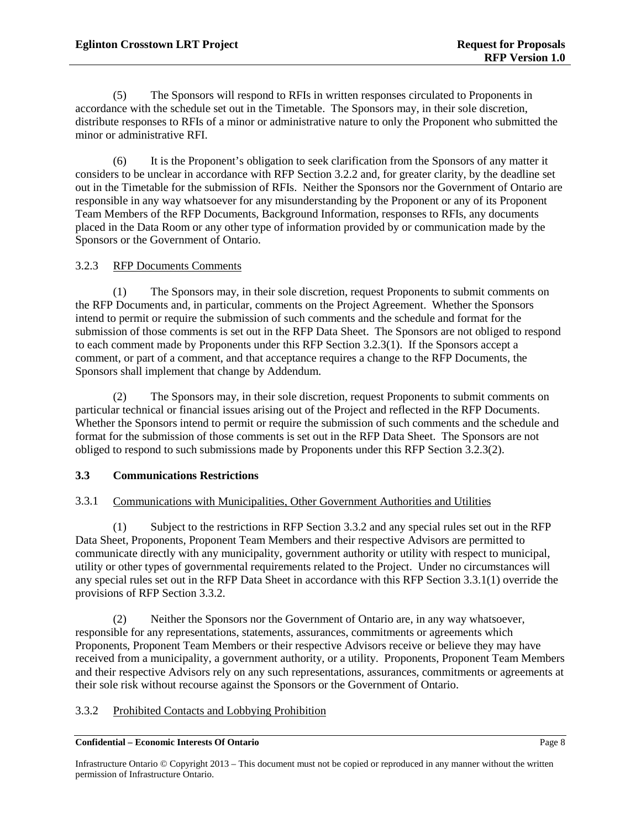(5) The Sponsors will respond to RFIs in written responses circulated to Proponents in accordance with the schedule set out in the Timetable. The Sponsors may, in their sole discretion, distribute responses to RFIs of a minor or administrative nature to only the Proponent who submitted the minor or administrative RFI.

(6) It is the Proponent's obligation to seek clarification from the Sponsors of any matter it considers to be unclear in accordance with RFP Section [3.2.2](#page-11-0) and, for greater clarity, by the deadline set out in the Timetable for the submission of RFIs. Neither the Sponsors nor the Government of Ontario are responsible in any way whatsoever for any misunderstanding by the Proponent or any of its Proponent Team Members of the RFP Documents, Background Information, responses to RFIs, any documents placed in the Data Room or any other type of information provided by or communication made by the Sponsors or the Government of Ontario.

## 3.2.3 RFP Documents Comments

<span id="page-12-0"></span>(1) The Sponsors may, in their sole discretion, request Proponents to submit comments on the RFP Documents and, in particular, comments on the Project Agreement. Whether the Sponsors intend to permit or require the submission of such comments and the schedule and format for the submission of those comments is set out in the RFP Data Sheet. The Sponsors are not obliged to respond to each comment made by Proponents under this RFP Section 3.2.3(1). If the Sponsors accept a comment, or part of a comment, and that acceptance requires a change to the RFP Documents, the Sponsors shall implement that change by Addendum. For Indiansian Schement Content and the Schement Content of the submission of such comments and the schement Content of the submission of such comments and the schement of the Street and that acceptance requires a change t

<span id="page-12-1"></span>(2) The Sponsors may, in their sole discretion, request Proponents to submit comments on particular technical or financial issues arising out of the Project and reflected in the RFP Documents. Whether the Sponsors intend to permit or require the submission of such comments and the schedule and format for the submission of those comments is set out in the RFP Data Sheet. The Sponsors are not obliged to respond to such submissions made by Proponents under this RFP Section [3.2.3\(2\).](#page-12-1)

## **3.3 Communications Restrictions**

## 3.3.1 Communications with Municipalities, Other Government Authorities and Utilities

<span id="page-12-3"></span>(1) Subject to the restrictions in RFP Section 3.3.2 and any special rules set out in the RFP Data Sheet, Proponents, Proponent Team Members and their respective Advisors are permitted to communicate directly with any municipality, government authority or utility with respect to municipal, utility or other types of governmental requirements related to the Project. Under no circumstances will any special rules set out in the RFP Data Sheet in accordance with this RFP Section [3.3.1\(1\)](#page-12-3) override the provisions of RFP Section [3.3.2.](#page-12-2)

(2) Neither the Sponsors nor the Government of Ontario are, in any way whatsoever, responsible for any representations, statements, assurances, commitments or agreements which Proponents, Proponent Team Members or their respective Advisors receive or believe they may have received from a municipality, a government authority, or a utility. Proponents, Proponent Team Members and their respective Advisors rely on any such representations, assurances, commitments or agreements at their sole risk without recourse against the Sponsors or the Government of Ontario.

## <span id="page-12-2"></span>3.3.2 Prohibited Contacts and Lobbying Prohibition

#### **Confidential – Economic Interests Of Ontario** Page 8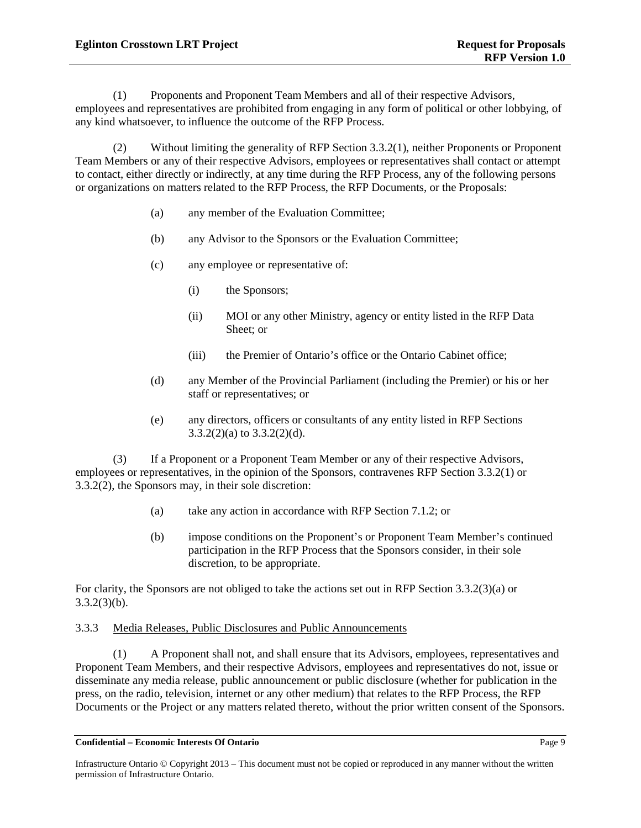<span id="page-13-0"></span>(1) Proponents and Proponent Team Members and all of their respective Advisors, employees and representatives are prohibited from engaging in any form of political or other lobbying, of any kind whatsoever, to influence the outcome of the RFP Process.

<span id="page-13-3"></span><span id="page-13-1"></span>(2) Without limiting the generality of RFP Section [3.3.2\(1\),](#page-13-0) neither Proponents or Proponent Team Members or any of their respective Advisors, employees or representatives shall contact or attempt to contact, either directly or indirectly, at any time during the RFP Process, any of the following persons or organizations on matters related to the RFP Process, the RFP Documents, or the Proposals:

- (a) any member of the Evaluation Committee;
- (b) any Advisor to the Sponsors or the Evaluation Committee;
- (c) any employee or representative of:
	- (i) the Sponsors;
	- (ii) MOI or any other Ministry, agency or entity listed in the RFP Data Sheet; or
	- (iii) the Premier of Ontario's office or the Ontario Cabinet office;
- <span id="page-13-2"></span>(d) any Member of the Provincial Parliament (including the Premier) or his or her staff or representatives; or
- (e) any directors, officers or consultants of any entity listed in RFP Sections 3.3.2(2)(a) to  $3.3.2(2)(d)$ .

(3) If a Proponent or a Proponent Team Member or any of their respective Advisors, employees or representatives, in the opinion of the Sponsors, contravenes RFP Section [3.3.2\(1\)](#page-13-0) or [3.3.2\(2\),](#page-13-3) the Sponsors may, in their sole discretion: MOI or any other Ministry, agency or entry list<br>Sheet; or<br>ii) the Premier of Ontario's office of the Ontario C<br>ny Member of the Provincial Parliament (including the<br>aff or representatives; or<br>y directors, officers or cons

- <span id="page-13-4"></span>(a) take any action in accordance with RFP Section 7.1.2; or
- (b) impose conditions on the Proponent's or Proponent Team Member's continued participation in the RFP Process that the Sponsors consider, in their sole discretion, to be appropriate.

<span id="page-13-5"></span>For clarity, the Sponsors are not obliged to take the actions set out in RFP Section [3.3.2\(3\)\(a\)](#page-13-4) or  $3.3.2(3)(b)$ .

### <span id="page-13-6"></span>3.3.3 Media Releases, Public Disclosures and Public Announcements

(1) A Proponent shall not, and shall ensure that its Advisors, employees, representatives and Proponent Team Members, and their respective Advisors, employees and representatives do not, issue or disseminate any media release, public announcement or public disclosure (whether for publication in the press, on the radio, television, internet or any other medium) that relates to the RFP Process, the RFP Documents or the Project or any matters related thereto, without the prior written consent of the Sponsors.

**Confidential – Economic Interests Of Ontario** Page 9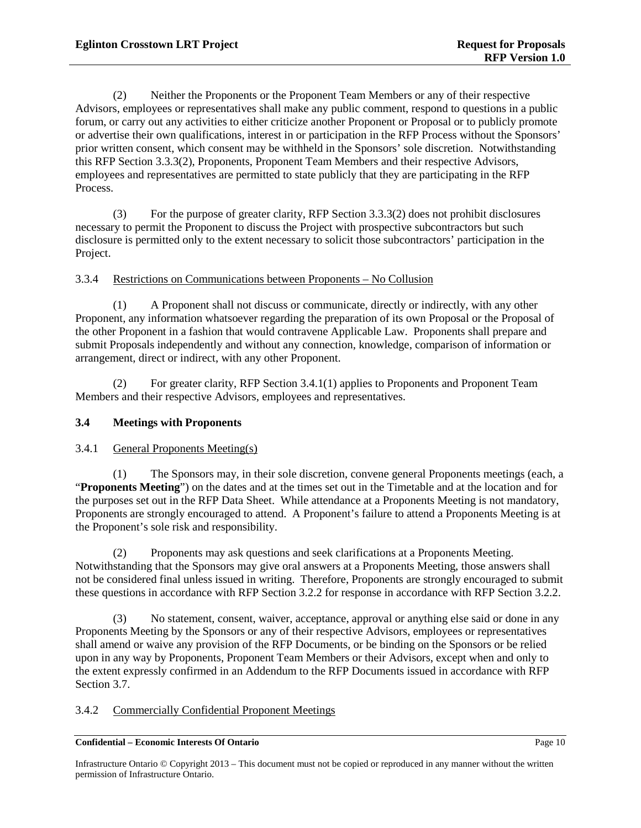<span id="page-14-1"></span>(2) Neither the Proponents or the Proponent Team Members or any of their respective Advisors, employees or representatives shall make any public comment, respond to questions in a public forum, or carry out any activities to either criticize another Proponent or Proposal or to publicly promote or advertise their own qualifications, interest in or participation in the RFP Process without the Sponsors' prior written consent, which consent may be withheld in the Sponsors' sole discretion. Notwithstanding this RFP Sectio[n 3.3.3\(2\),](#page-14-1) Proponents, Proponent Team Members and their respective Advisors, employees and representatives are permitted to state publicly that they are participating in the RFP Process.

(3) For the purpose of greater clarity, RFP Sectio[n 3.3.3\(2\)](#page-14-1) does not prohibit disclosures necessary to permit the Proponent to discuss the Project with prospective subcontractors but such disclosure is permitted only to the extent necessary to solicit those subcontractors' participation in the Project.

<span id="page-14-3"></span>3.3.4 Restrictions on Communications between Proponents – No Collusion

(1) A Proponent shall not discuss or communicate, directly or indirectly, with any other Proponent, any information whatsoever regarding the preparation of its own Proposal or the Proposal of the other Proponent in a fashion that would contravene Applicable Law. Proponents shall prepare and submit Proposals independently and without any connection, knowledge, comparison of information or arrangement, direct or indirect, with any other Proponent.

(2) For greater clarity, RFP Section 3.4.1(1) applies to Proponents and Proponent Team Members and their respective Advisors, employees and representatives. **FIFORMS** 

## **3.4 Meetings with Proponents**

### 3.4.1 General Proponents Meeting(s)

<span id="page-14-2"></span>(1) The Sponsors may, in their sole discretion, convene general Proponents meetings (each, a "**Proponents Meeting**") on the dates and at the times set out in the Timetable and at the location and for the purposes set out in the RFP Data Sheet. While attendance at a Proponents Meeting is not mandatory, Proponents are strongly encouraged to attend. A Proponent's failure to attend a Proponents Meeting is at the Proponent's sole risk and responsibility.

(2) Proponents may ask questions and seek clarifications at a Proponents Meeting. Notwithstanding that the Sponsors may give oral answers at a Proponents Meeting, those answers shall not be considered final unless issued in writing. Therefore, Proponents are strongly encouraged to submit these questions in accordance with RFP Sectio[n 3.2.2](#page-11-0) for response in accordance with RFP Section [3.2.2.](#page-11-0)

(3) No statement, consent, waiver, acceptance, approval or anything else said or done in any Proponents Meeting by the Sponsors or any of their respective Advisors, employees or representatives shall amend or waive any provision of the RFP Documents, or be binding on the Sponsors or be relied upon in any way by Proponents, Proponent Team Members or their Advisors, except when and only to the extent expressly confirmed in an Addendum to the RFP Documents issued in accordance with RFP Sectio[n 3.7.](#page-19-0)

## <span id="page-14-0"></span>3.4.2 Commercially Confidential Proponent Meetings

#### **Confidential – Economic Interests Of Ontario** Page 10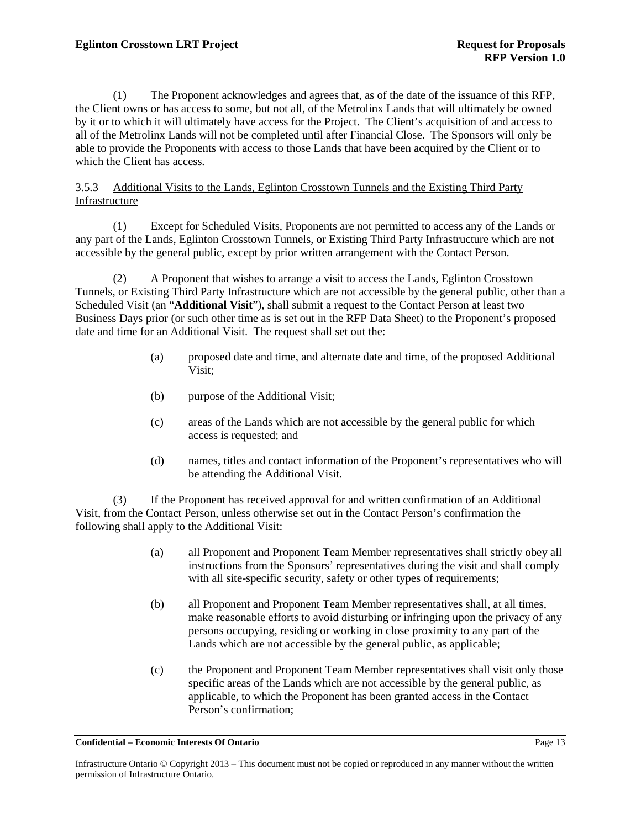(1) The Proponent acknowledges and agrees that, as of the date of the issuance of this RFP, the Client owns or has access to some, but not all, of the Metrolinx Lands that will ultimately be owned by it or to which it will ultimately have access for the Project. The Client's acquisition of and access to all of the Metrolinx Lands will not be completed until after Financial Close. The Sponsors will only be able to provide the Proponents with access to those Lands that have been acquired by the Client or to which the Client has access.

## 3.5.3 Additional Visits to the Lands, Eglinton Crosstown Tunnels and the Existing Third Party Infrastructure

(1) Except for Scheduled Visits, Proponents are not permitted to access any of the Lands or any part of the Lands, Eglinton Crosstown Tunnels, or Existing Third Party Infrastructure which are not accessible by the general public, except by prior written arrangement with the Contact Person.

<span id="page-17-0"></span>(2) A Proponent that wishes to arrange a visit to access the Lands, Eglinton Crosstown Tunnels, or Existing Third Party Infrastructure which are not accessible by the general public, other than a Scheduled Visit (an "Additional Visit"), shall submit a request to the Contact Person at least two Business Days prior (or such other time as is set out in the RFP Data Sheet) to the Proponent's proposed date and time for an Additional Visit. The request shall set out the: For Internal Visit"), shall submit a request to the Contable<br>ch other time as is set out in the RFP Data Sheep of the other time as is set out in the RFP Data Sheep to tional Visit. The request shall set out the:<br>coposed d

- (a) proposed date and time, and alternate date and time, of the proposed Additional Visit;
- (b) purpose of the Additional Visit;
- (c) areas of the Lands which are not accessible by the general public for which access is requested; and
- (d) names, titles and contact information of the Proponent's representatives who will be attending the Additional Visit.

(3) If the Proponent has received approval for and written confirmation of an Additional Visit, from the Contact Person, unless otherwise set out in the Contact Person's confirmation the following shall apply to the Additional Visit:

- (a) all Proponent and Proponent Team Member representatives shall strictly obey all instructions from the Sponsors' representatives during the visit and shall comply with all site-specific security, safety or other types of requirements;
- (b) all Proponent and Proponent Team Member representatives shall, at all times, make reasonable efforts to avoid disturbing or infringing upon the privacy of any persons occupying, residing or working in close proximity to any part of the Lands which are not accessible by the general public, as applicable;
- (c) the Proponent and Proponent Team Member representatives shall visit only those specific areas of the Lands which are not accessible by the general public, as applicable, to which the Proponent has been granted access in the Contact Person's confirmation;

Infrastructure Ontario © Copyright 2013 – This document must not be copied or reproduced in any manner without the written permission of Infrastructure Ontario.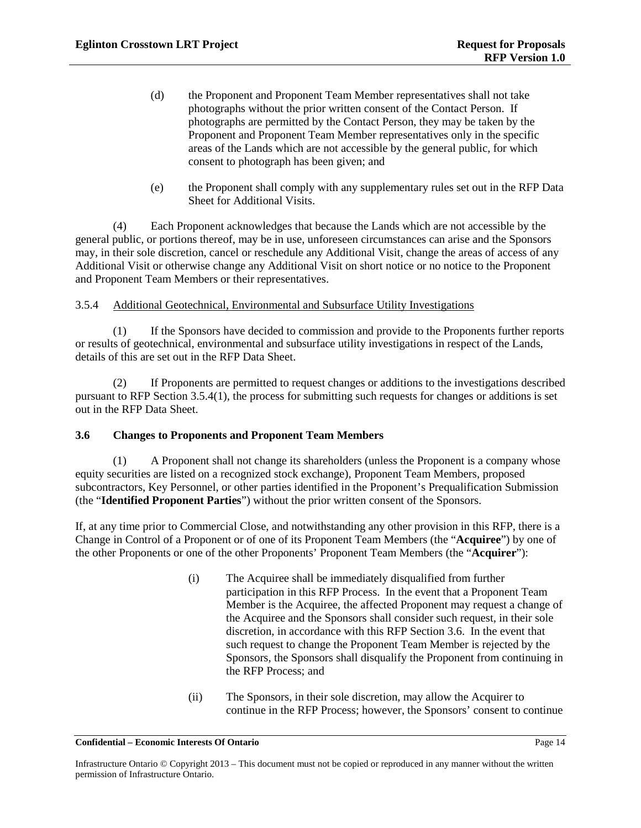- (d) the Proponent and Proponent Team Member representatives shall not take photographs without the prior written consent of the Contact Person. If photographs are permitted by the Contact Person, they may be taken by the Proponent and Proponent Team Member representatives only in the specific areas of the Lands which are not accessible by the general public, for which consent to photograph has been given; and
- (e) the Proponent shall comply with any supplementary rules set out in the RFP Data Sheet for Additional Visits.

(4) Each Proponent acknowledges that because the Lands which are not accessible by the general public, or portions thereof, may be in use, unforeseen circumstances can arise and the Sponsors may, in their sole discretion, cancel or reschedule any Additional Visit, change the areas of access of any Additional Visit or otherwise change any Additional Visit on short notice or no notice to the Proponent and Proponent Team Members or their representatives.

## 3.5.4 Additional Geotechnical, Environmental and Subsurface Utility Investigations

<span id="page-18-0"></span>(1) If the Sponsors have decided to commission and provide to the Proponents further reports or results of geotechnical, environmental and subsurface utility investigations in respect of the Lands, details of this are set out in the RFP Data Sheet.

(2) If Proponents are permitted to request changes or additions to the investigations described pursuant to RFP Section [3.5.4\(1\),](#page-18-0) the process for submitting such requests for changes or additions is set out in the RFP Data Sheet. out in the RFP Data Sheet.

## <span id="page-18-2"></span><span id="page-18-1"></span>**3.6 Changes to Proponents and Proponent Team Members**

(1) A Proponent shall not change its shareholders (unless the Proponent is a company whose equity securities are listed on a recognized stock exchange), Proponent Team Members, proposed subcontractors, Key Personnel, or other parties identified in the Proponent's Prequalification Submission (the "**Identified Proponent Parties**") without the prior written consent of the Sponsors. more the Superior and Subsurface Utility Investigations<br>
masors have decided to commission and provide to the<br>
environmental and subsurface utility investigations in<br>
the RFP Data Sheet.<br>
ents are permitted to request chan

If, at any time prior to Commercial Close, and notwithstanding any other provision in this RFP, there is a Change in Control of a Proponent or of one of its Proponent Team Members (the "**Acquiree**") by one of the other Proponents or one of the other Proponents' Proponent Team Members (the "**Acquirer**"):

- (i) The Acquiree shall be immediately disqualified from further participation in this RFP Process. In the event that a Proponent Team Member is the Acquiree, the affected Proponent may request a change of the Acquiree and the Sponsors shall consider such request, in their sole discretion, in accordance with this RFP Section [3.6.](#page-18-1) In the event that such request to change the Proponent Team Member is rejected by the Sponsors, the Sponsors shall disqualify the Proponent from continuing in the RFP Process; and
- (ii) The Sponsors, in their sole discretion, may allow the Acquirer to continue in the RFP Process; however, the Sponsors' consent to continue

Infrastructure Ontario © Copyright 2013 – This document must not be copied or reproduced in any manner without the written permission of Infrastructure Ontario.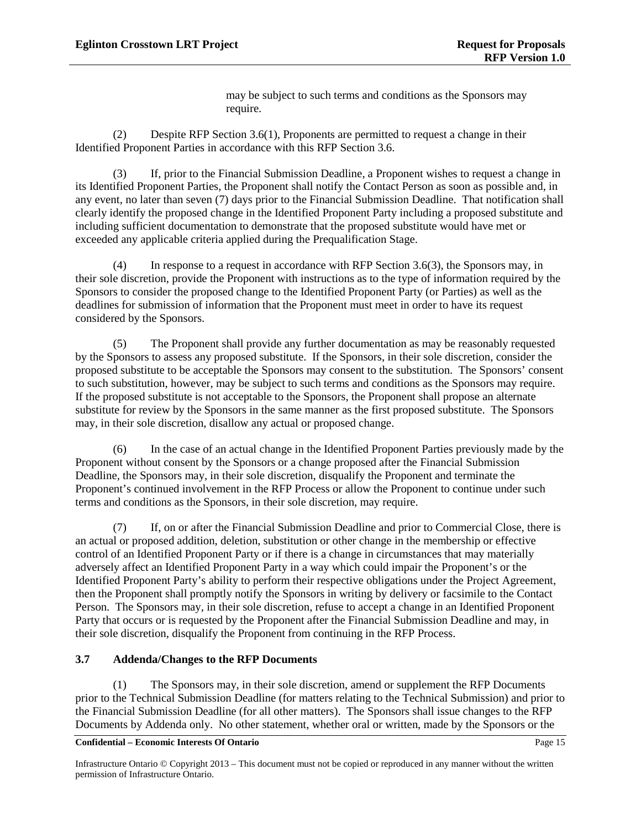may be subject to such terms and conditions as the Sponsors may require.

(2) Despite RFP Section [3.6\(1\),](#page-18-2) Proponents are permitted to request a change in their Identified Proponent Parties in accordance with this RFP Sectio[n 3.6.](#page-18-1)

<span id="page-19-1"></span>(3) If, prior to the Financial Submission Deadline, a Proponent wishes to request a change in its Identified Proponent Parties, the Proponent shall notify the Contact Person as soon as possible and, in any event, no later than seven (7) days prior to the Financial Submission Deadline. That notification shall clearly identify the proposed change in the Identified Proponent Party including a proposed substitute and including sufficient documentation to demonstrate that the proposed substitute would have met or exceeded any applicable criteria applied during the Prequalification Stage.

(4) In response to a request in accordance with RFP Section [3.6\(3\),](#page-19-1) the Sponsors may, in their sole discretion, provide the Proponent with instructions as to the type of information required by the Sponsors to consider the proposed change to the Identified Proponent Party (or Parties) as well as the deadlines for submission of information that the Proponent must meet in order to have its request considered by the Sponsors.

(5) The Proponent shall provide any further documentation as may be reasonably requested by the Sponsors to assess any proposed substitute. If the Sponsors, in their sole discretion, consider the proposed substitute to be acceptable the Sponsors may consent to the substitution. The Sponsors' consent to such substitution, however, may be subject to such terms and conditions as the Sponsors may require. If the proposed substitute is not acceptable to the Sponsors, the Proponent shall propose an alternate substitute for review by the Sponsors in the same manner as the first proposed substitute. The Sponsors may, in their sole discretion, disallow any actual or proposed change. For Information Purposes

(6) In the case of an actual change in the Identified Proponent Parties previously made by the Proponent without consent by the Sponsors or a change proposed after the Financial Submission Deadline, the Sponsors may, in their sole discretion, disqualify the Proponent and terminate the Proponent's continued involvement in the RFP Process or allow the Proponent to continue under such terms and conditions as the Sponsors, in their sole discretion, may require.

(7) If, on or after the Financial Submission Deadline and prior to Commercial Close, there is an actual or proposed addition, deletion, substitution or other change in the membership or effective control of an Identified Proponent Party or if there is a change in circumstances that may materially adversely affect an Identified Proponent Party in a way which could impair the Proponent's or the Identified Proponent Party's ability to perform their respective obligations under the Project Agreement, then the Proponent shall promptly notify the Sponsors in writing by delivery or facsimile to the Contact Person. The Sponsors may, in their sole discretion, refuse to accept a change in an Identified Proponent Party that occurs or is requested by the Proponent after the Financial Submission Deadline and may, in their sole discretion, disqualify the Proponent from continuing in the RFP Process.

### <span id="page-19-0"></span>**3.7 Addenda/Changes to the RFP Documents**

(1) The Sponsors may, in their sole discretion, amend or supplement the RFP Documents prior to the Technical Submission Deadline (for matters relating to the Technical Submission) and prior to the Financial Submission Deadline (for all other matters). The Sponsors shall issue changes to the RFP Documents by Addenda only. No other statement, whether oral or written, made by the Sponsors or the

#### **Confidential – Economic Interests Of Ontario** Page 15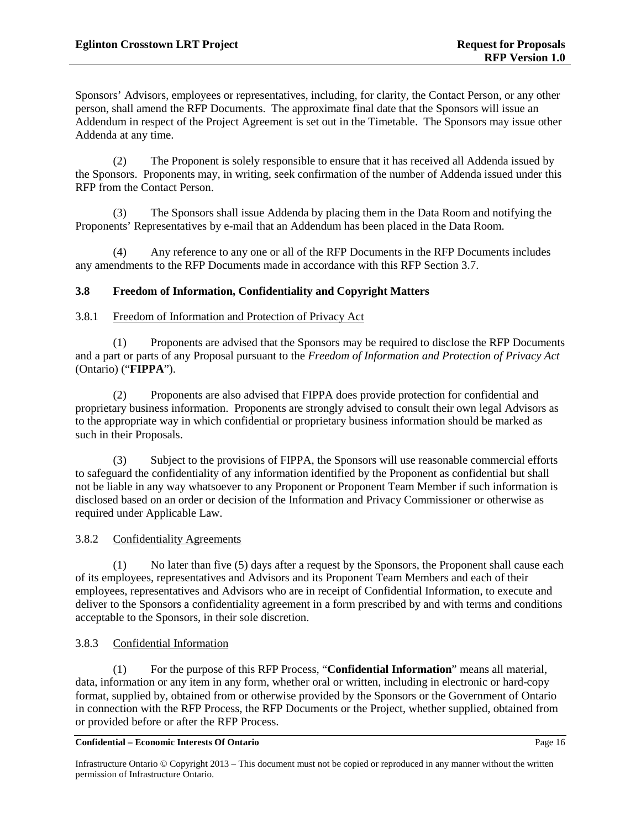Sponsors' Advisors, employees or representatives, including, for clarity, the Contact Person, or any other person, shall amend the RFP Documents. The approximate final date that the Sponsors will issue an Addendum in respect of the Project Agreement is set out in the Timetable. The Sponsors may issue other Addenda at any time.

(2) The Proponent is solely responsible to ensure that it has received all Addenda issued by the Sponsors. Proponents may, in writing, seek confirmation of the number of Addenda issued under this RFP from the Contact Person.

(3) The Sponsors shall issue Addenda by placing them in the Data Room and notifying the Proponents' Representatives by e-mail that an Addendum has been placed in the Data Room.

(4) Any reference to any one or all of the RFP Documents in the RFP Documents includes any amendments to the RFP Documents made in accordance with this RFP Sectio[n 3.7.](#page-19-0)

### **3.8 Freedom of Information, Confidentiality and Copyright Matters**

#### 3.8.1 Freedom of Information and Protection of Privacy Act

(1) Proponents are advised that the Sponsors may be required to disclose the RFP Documents and a part or parts of any Proposal pursuant to the *Freedom of Information and Protection of Privacy Act* (Ontario) ("**FIPPA**").

(2) Proponents are also advised that FIPPA does provide protection for confidential and proprietary business information. Proponents are strongly advised to consult their own legal Advisors as to the appropriate way in which confidential or proprietary business information should be marked as such in their Proposals.

(3) Subject to the provisions of FIPPA, the Sponsors will use reasonable commercial efforts to safeguard the confidentiality of any information identified by the Proponent as confidential but shall not be liable in any way whatsoever to any Proponent or Proponent Team Member if such information is disclosed based on an order or decision of the Information and Privacy Commissioner or otherwise as required under Applicable Law. mation and Protection of Privacy Act<br>s are advised that the Sponsors may be required to dis<br>Proposal pursuant to the Freedom of Information and .<br>s are also advised that FIPPA does provide protection<br>mation. Proponents are

### 3.8.2 Confidentiality Agreements

(1) No later than five (5) days after a request by the Sponsors, the Proponent shall cause each of its employees, representatives and Advisors and its Proponent Team Members and each of their employees, representatives and Advisors who are in receipt of Confidential Information, to execute and deliver to the Sponsors a confidentiality agreement in a form prescribed by and with terms and conditions acceptable to the Sponsors, in their sole discretion.

#### <span id="page-20-0"></span>3.8.3 Confidential Information

(1) For the purpose of this RFP Process, "**Confidential Information**" means all material, data, information or any item in any form, whether oral or written, including in electronic or hard-copy format, supplied by, obtained from or otherwise provided by the Sponsors or the Government of Ontario in connection with the RFP Process, the RFP Documents or the Project, whether supplied, obtained from or provided before or after the RFP Process.

**Confidential – Economic Interests Of Ontario Page 16** 

Infrastructure Ontario © Copyright 2013 – This document must not be copied or reproduced in any manner without the written permission of Infrastructure Ontario.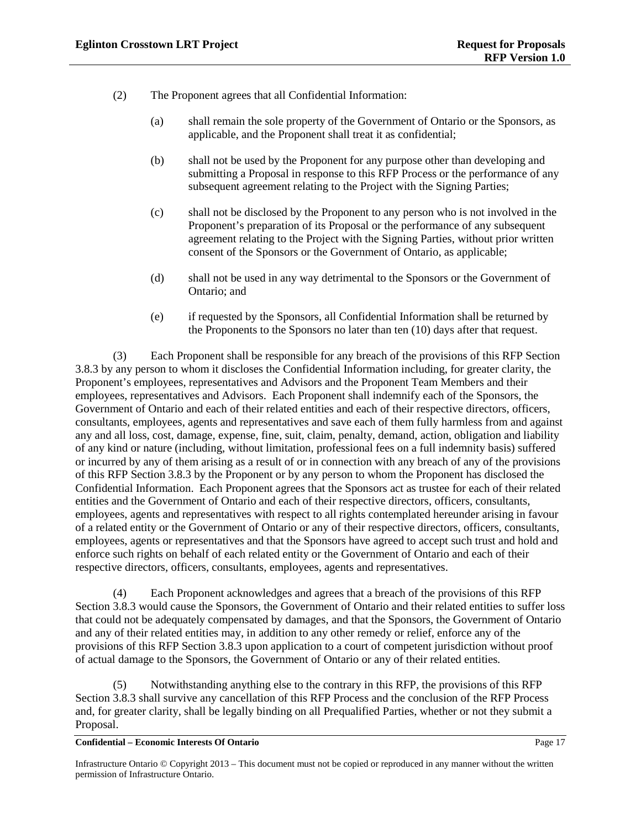- (2) The Proponent agrees that all Confidential Information:
	- (a) shall remain the sole property of the Government of Ontario or the Sponsors, as applicable, and the Proponent shall treat it as confidential;
	- (b) shall not be used by the Proponent for any purpose other than developing and submitting a Proposal in response to this RFP Process or the performance of any subsequent agreement relating to the Project with the Signing Parties;
	- (c) shall not be disclosed by the Proponent to any person who is not involved in the Proponent's preparation of its Proposal or the performance of any subsequent agreement relating to the Project with the Signing Parties, without prior written consent of the Sponsors or the Government of Ontario, as applicable;
	- (d) shall not be used in any way detrimental to the Sponsors or the Government of Ontario; and
	- (e) if requested by the Sponsors, all Confidential Information shall be returned by the Proponents to the Sponsors no later than  $ten(10)$  days after that request.

(3) Each Proponent shall be responsible for any breach of the provisions of this RFP Section [3.8.3](#page-20-0) by any person to whom it discloses the Confidential Information including, for greater clarity, the Proponent's employees, representatives and Advisors and the Proponent Team Members and their employees, representatives and Advisors. Each Proponent shall indemnify each of the Sponsors, the Government of Ontario and each of their related entities and each of their respective directors, officers, consultants, employees, agents and representatives and save each of them fully harmless from and against any and all loss, cost, damage, expense, fine, suit, claim, penalty, demand, action, obligation and liability of any kind or nature (including, without limitation, professional fees on a full indemnity basis) suffered or incurred by any of them arising as a result of or in connection with any breach of any of the provisions of this RFP Sectio[n 3.8.3](#page-20-0) by the Proponent or by any person to whom the Proponent has disclosed the Confidential Information. Each Proponent agrees that the Sponsors act as trustee for each of their related entities and the Government of Ontario and each of their respective directors, officers, consultants, employees, agents and representatives with respect to all rights contemplated hereunder arising in favour of a related entity or the Government of Ontario or any of their respective directors, officers, consultants, employees, agents or representatives and that the Sponsors have agreed to accept such trust and hold and enforce such rights on behalf of each related entity or the Government of Ontario and each of their respective directors, officers, consultants, employees, agents and representatives. requested by the Sponsors, all Confidential Information<br>e Proponents to the Sponsors no later than **ten (40**) da<br>onnent shall be responsible for any breakh of the provi<br>on it discloses the Confidential Information includin

(4) Each Proponent acknowledges and agrees that a breach of the provisions of this RFP Sectio[n 3.8.3](#page-20-0) would cause the Sponsors, the Government of Ontario and their related entities to suffer loss that could not be adequately compensated by damages, and that the Sponsors, the Government of Ontario and any of their related entities may, in addition to any other remedy or relief, enforce any of the provisions of this RFP Section [3.8.3](#page-20-0) upon application to a court of competent jurisdiction without proof of actual damage to the Sponsors, the Government of Ontario or any of their related entities.

(5) Notwithstanding anything else to the contrary in this RFP, the provisions of this RFP Sectio[n 3.8.3](#page-20-0) shall survive any cancellation of this RFP Process and the conclusion of the RFP Process and, for greater clarity, shall be legally binding on all Prequalified Parties, whether or not they submit a Proposal.

**Confidential – Economic Interests Of Ontario** Page 17

Infrastructure Ontario © Copyright 2013 – This document must not be copied or reproduced in any manner without the written permission of Infrastructure Ontario.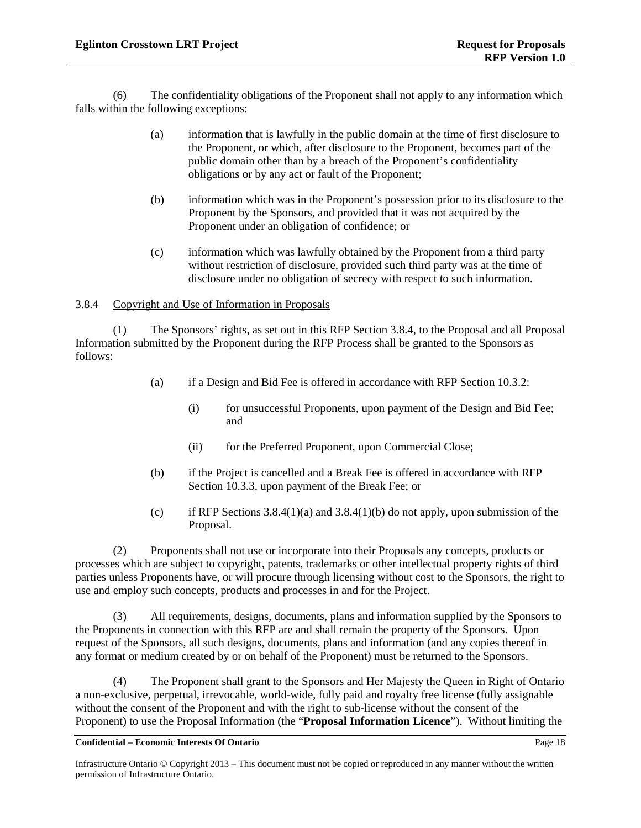(6) The confidentiality obligations of the Proponent shall not apply to any information which falls within the following exceptions:

- (a) information that is lawfully in the public domain at the time of first disclosure to the Proponent, or which, after disclosure to the Proponent, becomes part of the public domain other than by a breach of the Proponent's confidentiality obligations or by any act or fault of the Proponent;
- (b) information which was in the Proponent's possession prior to its disclosure to the Proponent by the Sponsors, and provided that it was not acquired by the Proponent under an obligation of confidence; or
- (c) information which was lawfully obtained by the Proponent from a third party without restriction of disclosure, provided such third party was at the time of disclosure under no obligation of secrecy with respect to such information.

## <span id="page-22-0"></span>3.8.4 Copyright and Use of Information in Proposals

(1) The Sponsors' rights, as set out in this RFP Section 3.8.4, to the Proposal and all Proposal Information submitted by the Proponent during the RFP Process shall be granted to the Sponsors as follows: F[or Inf](#page-57-0)ormation in Proposals<br>
Sors' rights, as set out in this RFP Section 3-8 Co the<br>
the Proponent during the RFP Process shall be granted<br>
a Design and Bid Fee is offered maccordance with R<br>
for unsuccessful Proponents,

- <span id="page-22-1"></span>(a) if a Design and Bid Fee is offered in accordance with RFP Section [10.3.2:](#page-56-0)
	- (i) for unsuccessful Proponents, upon payment of the Design and Bid Fee; and
	- (ii) for the Preferred Proponent, upon Commercial Close;
- <span id="page-22-2"></span>(b) if the Project is cancelled and a Break Fee is offered in accordance with RFP Section 10.3.3, upon payment of the Break Fee; or
- (c) if RFP Sections  $3.8.4(1)(a)$  and  $3.8.4(1)(b)$  do not apply, upon submission of the Proposal.

(2) Proponents shall not use or incorporate into their Proposals any concepts, products or processes which are subject to copyright, patents, trademarks or other intellectual property rights of third parties unless Proponents have, or will procure through licensing without cost to the Sponsors, the right to use and employ such concepts, products and processes in and for the Project.

(3) All requirements, designs, documents, plans and information supplied by the Sponsors to the Proponents in connection with this RFP are and shall remain the property of the Sponsors. Upon request of the Sponsors, all such designs, documents, plans and information (and any copies thereof in any format or medium created by or on behalf of the Proponent) must be returned to the Sponsors.

(4) The Proponent shall grant to the Sponsors and Her Majesty the Queen in Right of Ontario a non-exclusive, perpetual, irrevocable, world-wide, fully paid and royalty free license (fully assignable without the consent of the Proponent and with the right to sub-license without the consent of the Proponent) to use the Proposal Information (the "**Proposal Information Licence**"). Without limiting the

Infrastructure Ontario © Copyright 2013 – This document must not be copied or reproduced in any manner without the written permission of Infrastructure Ontario.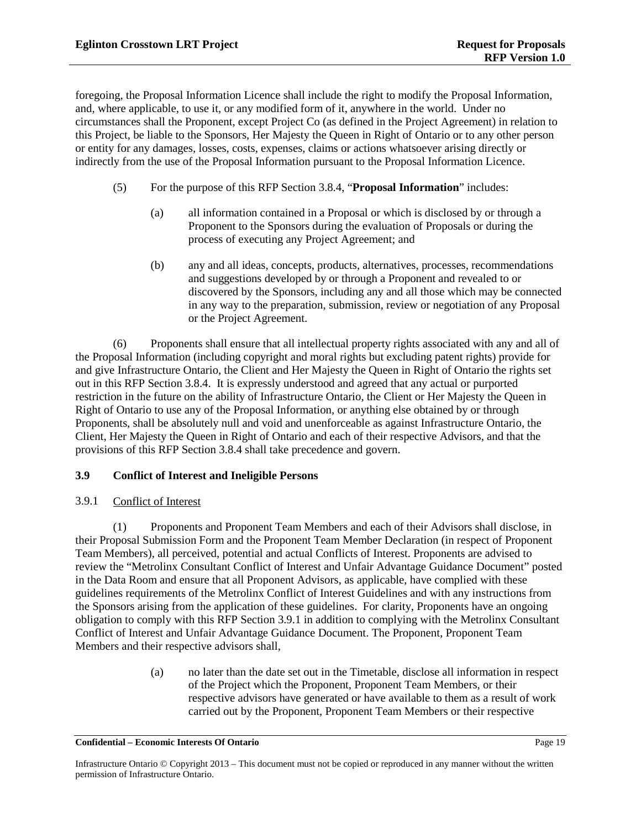foregoing, the Proposal Information Licence shall include the right to modify the Proposal Information, and, where applicable, to use it, or any modified form of it, anywhere in the world. Under no circumstances shall the Proponent, except Project Co (as defined in the Project Agreement) in relation to this Project, be liable to the Sponsors, Her Majesty the Queen in Right of Ontario or to any other person or entity for any damages, losses, costs, expenses, claims or actions whatsoever arising directly or indirectly from the use of the Proposal Information pursuant to the Proposal Information Licence.

- (5) For the purpose of this RFP Section [3.8.4,](#page-22-0) "**Proposal Information**" includes:
	- (a) all information contained in a Proposal or which is disclosed by or through a Proponent to the Sponsors during the evaluation of Proposals or during the process of executing any Project Agreement; and
	- (b) any and all ideas, concepts, products, alternatives, processes, recommendations and suggestions developed by or through a Proponent and revealed to or discovered by the Sponsors, including any and all those which may be connected in any way to the preparation, submission, review or negotiation of any Proposal or the Project Agreement.

(6) Proponents shall ensure that all intellectual property rights associated with any and all of the Proposal Information (including copyright and moral rights but excluding patent rights) provide for and give Infrastructure Ontario, the Client and Her Majesty the Queen in Right of Ontario the rights set out in this RFP Section [3.8.4.](#page-22-0) It is expressly understood and agreed that any actual or purported restriction in the future on the ability of Infrastructure Ontario, the Client or Her Majesty the Queen in Right of Ontario to use any of the Proposal Information, or anything else obtained by or through Proponents, shall be absolutely null and void and unenforceable as against Infrastructure Ontario, the Client, Her Majesty the Queen in Right of Ontario and each of their respective Advisors, and that the provisions of this RFP Section 3.8.4 shall take precedence and govern. any way to the preparation, submission, review of the Project Agreement.<br>
any way to the preparation, submission, review of the Project Agreement.<br>
S shall ensure that all intellectual property rights associated in the Cl

## <span id="page-23-2"></span>**3.9 Conflict of Interest and Ineligible Persons**

## <span id="page-23-0"></span>3.9.1 Conflict of Interest

(1) Proponents and Proponent Team Members and each of their Advisors shall disclose, in their Proposal Submission Form and the Proponent Team Member Declaration (in respect of Proponent Team Members), all perceived, potential and actual Conflicts of Interest. Proponents are advised to review the "Metrolinx Consultant Conflict of Interest and Unfair Advantage Guidance Document" posted in the Data Room and ensure that all Proponent Advisors, as applicable, have complied with these guidelines requirements of the Metrolinx Conflict of Interest Guidelines and with any instructions from the Sponsors arising from the application of these guidelines. For clarity, Proponents have an ongoing obligation to comply with this RFP Section [3.9.1](#page-23-0) in addition to complying with the Metrolinx Consultant Conflict of Interest and Unfair Advantage Guidance Document. The Proponent, Proponent Team Members and their respective advisors shall,

> (a) no later than the date set out in the Timetable, disclose all information in respect of the Project which the Proponent, Proponent Team Members, or their respective advisors have generated or have available to them as a result of work carried out by the Proponent, Proponent Team Members or their respective

#### <span id="page-23-1"></span>**Confidential – Economic Interests Of Ontario** Page 19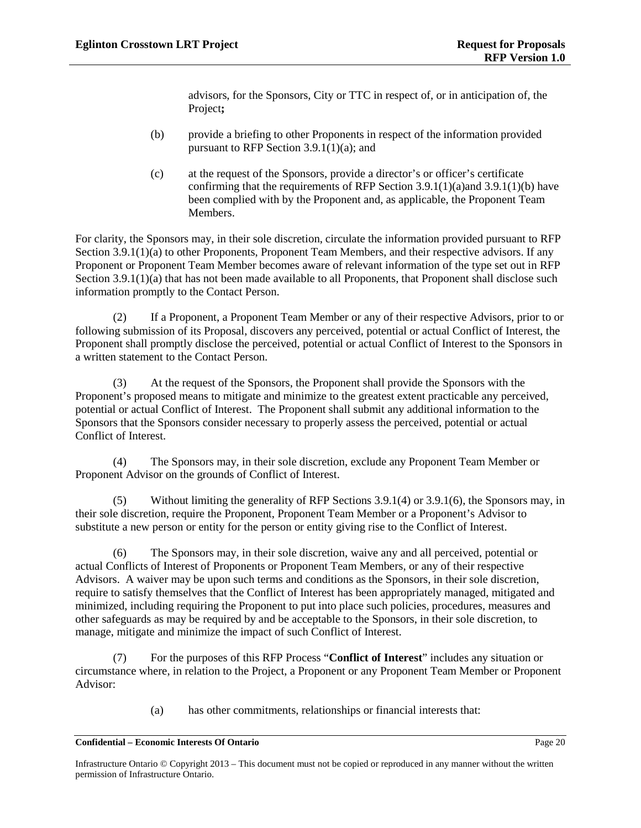advisors, for the Sponsors, City or TTC in respect of, or in anticipation of, the Project**;** 

- <span id="page-24-0"></span>(b) provide a briefing to other Proponents in respect of the information provided pursuant to RFP Section [3.9.1\(1\)\(a\);](#page-23-1) and
- (c) at the request of the Sponsors, provide a director's or officer's certificate confirming that the requirements of RFP Section [3.9.1\(1\)\(a\)a](#page-23-1)nd [3.9.1\(1\)\(b\)](#page-24-0) have been complied with by the Proponent and, as applicable, the Proponent Team Members.

For clarity, the Sponsors may, in their sole discretion, circulate the information provided pursuant to RFP Sectio[n 3.9.1\(1\)\(a\)](#page-23-1) to other Proponents, Proponent Team Members, and their respective advisors. If any Proponent or Proponent Team Member becomes aware of relevant information of the type set out in RFP Sectio[n 3.9.1\(1\)\(a\)](#page-23-1) that has not been made available to all Proponents, that Proponent shall disclose such information promptly to the Contact Person.

(2) If a Proponent, a Proponent Team Member or any of their respective Advisors, prior to or following submission of its Proposal, discovers any perceived, potential or actual Conflict of Interest, the Proponent shall promptly disclose the perceived, potential or actual Conflict of Interest to the Sponsors in a written statement to the Contact Person.

(3) At the request of the Sponsors, the Proponent shall provide the Sponsors with the Proponent's proposed means to mitigate and minimize to the greatest extent practicable any perceived, potential or actual Conflict of Interest. The Proponent shall submit any additional information to the Sponsors that the Sponsors consider necessary to properly assess the perceived, potential or actual Conflict of Interest. Froponent Team Member or any of their Cospectives Securities of September Sections September September of actual Conflict of Contact Person.<br>
Let of the Sponsors, the Proponent shall provide the instant of the Sponsors, th

<span id="page-24-1"></span>(4) The Sponsors may, in their sole discretion, exclude any Proponent Team Member or Proponent Advisor on the grounds of Conflict of Interest.

<span id="page-24-3"></span>(5) Without limiting the generality of RFP Sections 3.9.1(4) or [3.9.1\(6\),](#page-24-2) the Sponsors may, in their sole discretion, require the Proponent, Proponent Team Member or a Proponent's Advisor to substitute a new person or entity for the person or entity giving rise to the Conflict of Interest.

<span id="page-24-2"></span>(6) The Sponsors may, in their sole discretion, waive any and all perceived, potential or actual Conflicts of Interest of Proponents or Proponent Team Members, or any of their respective Advisors. A waiver may be upon such terms and conditions as the Sponsors, in their sole discretion, require to satisfy themselves that the Conflict of Interest has been appropriately managed, mitigated and minimized, including requiring the Proponent to put into place such policies, procedures, measures and other safeguards as may be required by and be acceptable to the Sponsors, in their sole discretion, to manage, mitigate and minimize the impact of such Conflict of Interest.

(7) For the purposes of this RFP Process "**Conflict of Interest**" includes any situation or circumstance where, in relation to the Project, a Proponent or any Proponent Team Member or Proponent Advisor:

(a) has other commitments, relationships or financial interests that: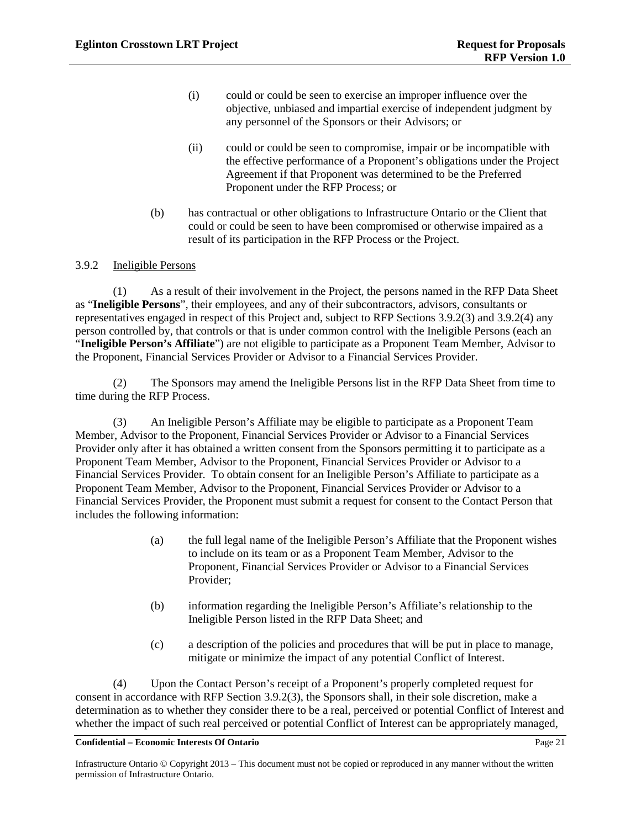- (i) could or could be seen to exercise an improper influence over the objective, unbiased and impartial exercise of independent judgment by any personnel of the Sponsors or their Advisors; or
- (ii) could or could be seen to compromise, impair or be incompatible with the effective performance of a Proponent's obligations under the Project Agreement if that Proponent was determined to be the Preferred Proponent under the RFP Process; or
- (b) has contractual or other obligations to Infrastructure Ontario or the Client that could or could be seen to have been compromised or otherwise impaired as a result of its participation in the RFP Process or the Project.

### 3.9.2 Ineligible Persons

(1) As a result of their involvement in the Project, the persons named in the RFP Data Sheet as "**Ineligible Persons**", their employees, and any of their subcontractors, advisors, consultants or representatives engaged in respect of this Project and, subject to RFP Section[s 3.9.2\(3\)](#page-25-0) and [3.9.2\(4\)](#page-25-1) any person controlled by, that controls or that is under common control with the Ineligible Persons (each an "**Ineligible Person's Affiliate**") are not eligible to participate as a Proponent Team Member, Advisor to the Proponent, Financial Services Provider or Advisor to a Financial Services Provider.

<span id="page-25-0"></span>(2) The Sponsors may amend the Ineligible Persons list in the RFP Data Sheet from time to time during the RFP Process.

(3) An Ineligible Person's Affiliate may be eligible to participate as a Proponent Team Member, Advisor to the Proponent, Financial Services Provider or Advisor to a Financial Services Provider only after it has obtained a written consent from the Sponsors permitting it to participate as a Proponent Team Member, Advisor to the Proponent, Financial Services Provider or Advisor to a Financial Services Provider. To obtain consent for an Ineligible Person's Affiliate to participate as a Proponent Team Member, Advisor to the Proponent, Financial Services Provider or Advisor to a Financial Services Provider, the Proponent must submit a request for consent to the Contact Person that includes the following information: For International Accounts and the Bronder<br>For Information Proposes, and any of their subcontractors, accept<br>respect of this Project and, subject to RFP Sections 3<br>respect of that is under common control with the Inel<br>ate"

- (a) the full legal name of the Ineligible Person's Affiliate that the Proponent wishes to include on its team or as a Proponent Team Member, Advisor to the Proponent, Financial Services Provider or Advisor to a Financial Services Provider;
- (b) information regarding the Ineligible Person's Affiliate's relationship to the Ineligible Person listed in the RFP Data Sheet; and
- (c) a description of the policies and procedures that will be put in place to manage, mitigate or minimize the impact of any potential Conflict of Interest.

<span id="page-25-1"></span>(4) Upon the Contact Person's receipt of a Proponent's properly completed request for consent in accordance with RFP Section [3.9.2\(3\),](#page-25-0) the Sponsors shall, in their sole discretion, make a determination as to whether they consider there to be a real, perceived or potential Conflict of Interest and whether the impact of such real perceived or potential Conflict of Interest can be appropriately managed,

Infrastructure Ontario © Copyright 2013 – This document must not be copied or reproduced in any manner without the written permission of Infrastructure Ontario.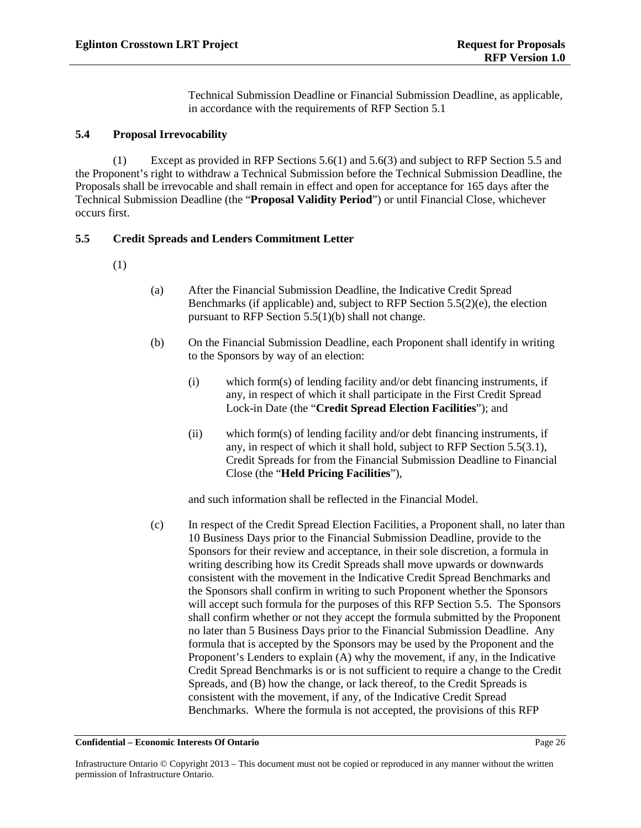$(5)$ The Sponsors will respond to RFIs in written responses circulated to Proponents in accordance with the schedule set out in the Timetable. The Sponsors may, in their sole discretion, distribute responses to RFIs of a minor or administrative nature to only the Proponent who submitted the minor or administrative RFI.

It is the Proponent's obligation to seek clarification from the Sponsors of any matter it  $(6)$ considers to be unclear in accordance with RFP Section 3.2.2 and, for greater clarity, by the deadline set out in the Timetable for the submission of RFIs. Neither the Sponsors nor the Government of Ontario are responsible in any way whatsoever for any misunderstanding by the Proponent or any of its Proponent Team Members of the RFP Documents, Background Information, responses to RFIs, any documents placed in the Data Room or any other type of information provided by or communication made by the Sponsors or the Government of Ontario.

#### $3.2.3$ **RFP Documents Comments**

 $(1)$ The Sponsors may, in their sole discretion, request Proponents to submit comments on the RFP Documents and, in particular, comments on the Project Agreement. Whether the Sponsors intend to permit or require the submission of such comments and the schedule and format for the submission of those comments is set out in the RFP Data Sheet. The Sponsors are not obliged to respond to each comment made by Proponents under this RFP Section 3.2.3(1). If the Sponsors accept a comment, or part of a comment, and that acceptance requires a change to the RFP Documents, the Sponsors shall implement that change by Addendum.

The Sponsors may, in their sole discretion, request Proponents to submit comments on  $(2)$ particular technical or financial issues arising out of the Project and reflected in the RFP Documents. Whether the Sponsors intend to permit or require the submission of such comments and the schedule and format for the submission of those comments is set out in the RFP Data Sheet. The Sponsors are not obliged to respond to such submissions made by Proponents under this RFP Section 3.2.3(2).

#### $3.3$ **Communications Restrictions**

#### $3.3.1$ Communications with Municipalities, Other Government Authorities and Utilities

Subject to the restrictions in RFP Section 3.3.2 and any special rules set out in the RFP  $(1)$ Data Sheet, Proponents, Proponent Team Members and their respective Advisors are permitted to communicate directly with any municipality, government authority or utility with respect to municipal, utility or other types of governmental requirements related to the Project. Under no circumstances will any special rules set out in the RFP Data Sheet in accordance with this RFP Section 3.3.1(1) override the provisions of RFP Section 3.3.2.

 $(2)$ Neither the Sponsors nor the Government of Ontario are, in any way whatsoever, responsible for any representations, statements, assurances, commitments or agreements which Proponents, Proponent Team Members or their respective Advisors receive or believe they may have received from a municipality, a government authority, or a utility. Proponents, Proponent Team Members and their respective Advisors rely on any such representations, assurances, commitments or agreements at their sole risk without recourse against the Sponsors or the Government of Ontario.

#### Prohibited Contacts and Lobbying Prohibition  $3.3.2$

#### **Confidential - Economic Interests Of Ontario**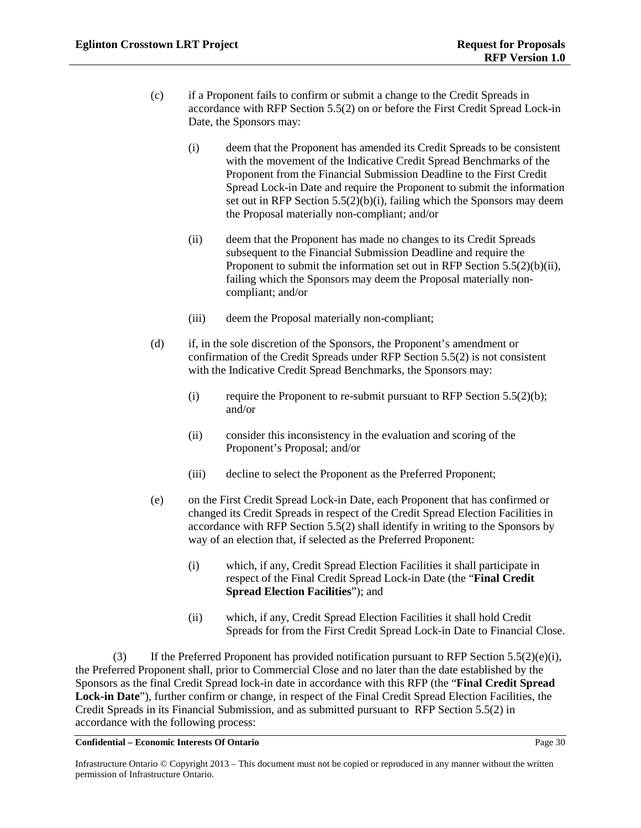Neither the Proponents or the Proponent Team Members or any of their respective  $(2)$ Advisors, employees or representatives shall make any public comment, respond to questions in a public forum, or carry out any activities to either criticize another Proponent or Proposal or to publicly promote or advertise their own qualifications, interest in or participation in the RFP Process without the Sponsors' prior written consent, which consent may be withheld in the Sponsors' sole discretion. Notwithstanding this RFP Section 3.3.3(2), Proponents, Proponent Team Members and their respective Advisors, employees and representatives are permitted to state publicly that they are participating in the RFP Process.

For the purpose of greater clarity, RFP Section 3.3.3(2) does not prohibit disclosures  $(3)$ necessary to permit the Proponent to discuss the Project with prospective subcontractors but such disclosure is permitted only to the extent necessary to solicit those subcontractors' participation in the Project.

#### $3.3.4$ Restrictions on Communications between Proponents – No Collusion

A Proponent shall not discuss or communicate, directly or indirectly, with any other  $(1)$ Proponent, any information whatsoever regarding the preparation of its own Proposal or the Proposal of the other Proponent in a fashion that would contravene Applicable Law. Proponents shall prepare and submit Proposals independently and without any connection, knowledge, comparison of information or arrangement, direct or indirect, with any other Proponent.

 $(2)$ For greater clarity, RFP Section 3.4.1(1) applies to Proponents and Proponent Team Members and their respective Advisors, employees and representatives.

#### $3.4$ **Meetings with Proponents**

#### $3.4.1$ **General Proponents Meeting(s)**

The Sponsors may, in their sole discretion, convene general Proponents meetings (each, a  $(1)$ "Proponents Meeting") on the dates and at the times set out in the Timetable and at the location and for the purposes set out in the RFP Data Sheet. While attendance at a Proponents Meeting is not mandatory, Proponents are strongly encouraged to attend. A Proponent's failure to attend a Proponents Meeting is at the Proponent's sole risk and responsibility.

 $(2)$ Proponents may ask questions and seek clarifications at a Proponents Meeting. Notwithstanding that the Sponsors may give oral answers at a Proponents Meeting, those answers shall not be considered final unless issued in writing. Therefore, Proponents are strongly encouraged to submit these questions in accordance with RFP Section 3.2.2 for response in accordance with RFP Section 3.2.2.

No statement, consent, waiver, acceptance, approval or anything else said or done in any  $(3)$ Proponents Meeting by the Sponsors or any of their respective Advisors, employees or representatives shall amend or waive any provision of the RFP Documents, or be binding on the Sponsors or be relied upon in any way by Proponents, Proponent Team Members or their Advisors, except when and only to the extent expressly confirmed in an Addendum to the RFP Documents issued in accordance with RFP Section 3.7.

#### **Commercially Confidential Proponent Meetings**  $3.4.2$

#### **Confidential - Economic Interests Of Ontario**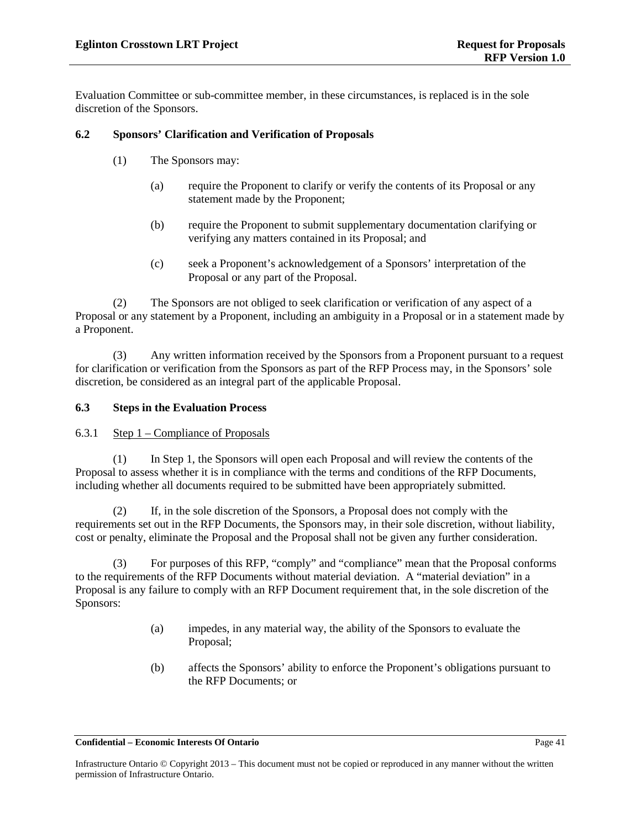Evaluation Committee or sub-committee member, in these circumstances, is replaced is in the sole discretion of the Sponsors.

### **6.2 Sponsors' Clarification and Verification of Proposals**

- (1) The Sponsors may:
	- (a) require the Proponent to clarify or verify the contents of its Proposal or any statement made by the Proponent;
	- (b) require the Proponent to submit supplementary documentation clarifying or verifying any matters contained in its Proposal; and
	- (c) seek a Proponent's acknowledgement of a Sponsors' interpretation of the Proposal or any part of the Proposal.

(2) The Sponsors are not obliged to seek clarification or verification of any aspect of a Proposal or any statement by a Proponent, including an ambiguity in a Proposal or in a statement made by a Proponent. For Sors are not obliged to seek clarification or verification<br>by a Proponent, including an ambiguity in a Proposal<br>en information received by the Sponsors from a Proposal<br>s an integral part of the applicable Proposal.<br>uat

(3) Any written information received by the Sponsors from a Proponent pursuant to a request for clarification or verification from the Sponsors as part of the RFP Process may, in the Sponsors' sole discretion, be considered as an integral part of the applicable Proposal.

#### **6.3 Steps in the Evaluation Process**

<span id="page-45-0"></span>6.3.1 Step 1 – Compliance of Proposals

(1) In Step 1, the Sponsors will open each Proposal and will review the contents of the Proposal to assess whether it is in compliance with the terms and conditions of the RFP Documents, including whether all documents required to be submitted have been appropriately submitted.

(2) If, in the sole discretion of the Sponsors, a Proposal does not comply with the requirements set out in the RFP Documents, the Sponsors may, in their sole discretion, without liability, cost or penalty, eliminate the Proposal and the Proposal shall not be given any further consideration.

(3) For purposes of this RFP, "comply" and "compliance" mean that the Proposal conforms to the requirements of the RFP Documents without material deviation. A "material deviation" in a Proposal is any failure to comply with an RFP Document requirement that, in the sole discretion of the Sponsors:

- (a) impedes, in any material way, the ability of the Sponsors to evaluate the Proposal;
- (b) affects the Sponsors' ability to enforce the Proponent's obligations pursuant to the RFP Documents; or

Infrastructure Ontario © Copyright 2013 – This document must not be copied or reproduced in any manner without the written permission of Infrastructure Ontario.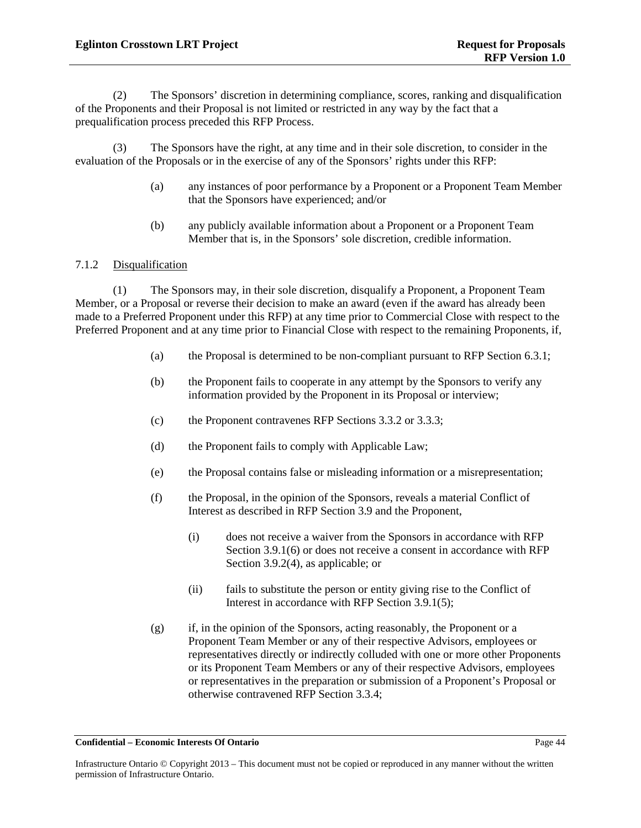(2) The Sponsors' discretion in determining compliance, scores, ranking and disqualification of the Proponents and their Proposal is not limited or restricted in any way by the fact that a prequalification process preceded this RFP Process.

(3) The Sponsors have the right, at any time and in their sole discretion, to consider in the evaluation of the Proposals or in the exercise of any of the Sponsors' rights under this RFP:

- (a) any instances of poor performance by a Proponent or a Proponent Team Member that the Sponsors have experienced; and/or
- (b) any publicly available information about a Proponent or a Proponent Team Member that is, in the Sponsors' sole discretion, credible information.

## <span id="page-48-0"></span>7.1.2 Disqualification

(1) The Sponsors may, in their sole discretion, disqualify a Proponent, a Proponent Team Member, or a Proposal or reverse their decision to make an award (even if the award has already been made to a Preferred Proponent under this RFP) at any time prior to Commercial Close with respect to the Preferred Proponent and at any time prior to Financial Close with respect to the remaining Proponents, if, France their decision to make an award (even if the and the serverse their decision to make an award (even if the and the and the and the proposal is determined to be non-complete the e Proposal is determined to be non-com

- (a) the Proposal is determined to be non-compliant pursuant to RFP Section [6.3.1;](#page-45-0)
- (b) the Proponent fails to cooperate in any attempt by the Sponsors to verify any information provided by the Proponent in its Proposal or interview;
- (c) the Proponent contravenes RFP Sections 3.3.2 or 3.3.3;
- (d) the Proponent fails to comply with Applicable Law;
- (e) the Proposal contains false or misleading information or a misrepresentation;
- (f) the Proposal, in the opinion of the Sponsors, reveals a material Conflict of Interest as described in RFP Section 3.9 and the Proponent,
	- (i) does not receive a waiver from the Sponsors in accordance with RFP Sectio[n 3.9.1\(6\)](#page-24-2) or does not receive a consent in accordance with RFP Sectio[n 3.9.2\(4\),](#page-25-1) as applicable; or
	- (ii) fails to substitute the person or entity giving rise to the Conflict of Interest in accordance with RFP Sectio[n 3.9.1\(5\);](#page-24-3)
- (g) if, in the opinion of the Sponsors, acting reasonably, the Proponent or a Proponent Team Member or any of their respective Advisors, employees or representatives directly or indirectly colluded with one or more other Proponents or its Proponent Team Members or any of their respective Advisors, employees or representatives in the preparation or submission of a Proponent's Proposal or otherwise contravened RFP Section [3.3.4;](#page-14-3)

Infrastructure Ontario © Copyright 2013 – This document must not be copied or reproduced in any manner without the written permission of Infrastructure Ontario.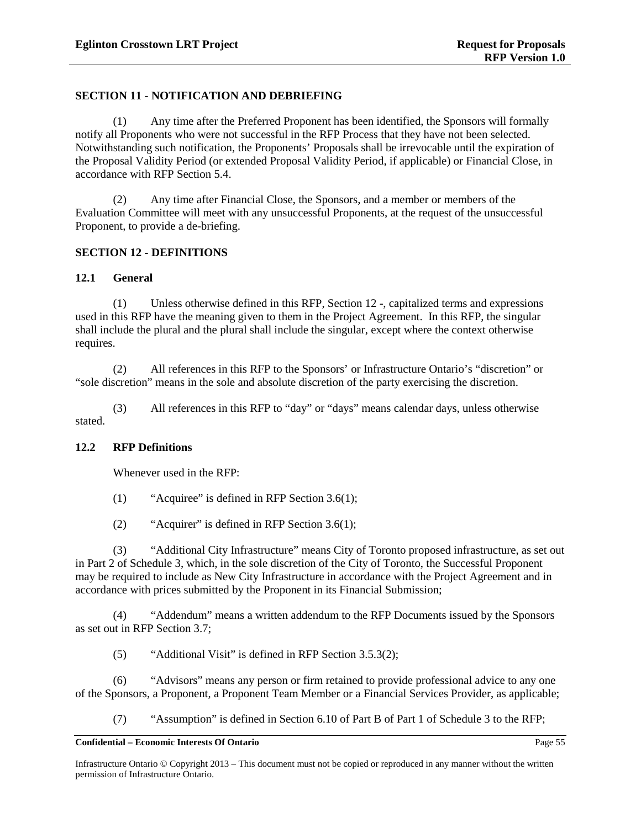## **SECTION 11 - NOTIFICATION AND DEBRIEFING**

(1) Any time after the Preferred Proponent has been identified, the Sponsors will formally notify all Proponents who were not successful in the RFP Process that they have not been selected. Notwithstanding such notification, the Proponents' Proposals shall be irrevocable until the expiration of the Proposal Validity Period (or extended Proposal Validity Period, if applicable) or Financial Close, in accordance with RFP Section [5.4.](#page-30-2)

(2) Any time after Financial Close, the Sponsors, and a member or members of the Evaluation Committee will meet with any unsuccessful Proponents, at the request of the unsuccessful Proponent, to provide a de-briefing.

### <span id="page-59-0"></span>**SECTION 12 - DEFINITIONS**

### **12.1 General**

(1) Unless otherwise defined in this RFP, Section 12 -, capitalized terms and expressions used in this RFP have the meaning given to them in the Project Agreement. In this RFP, the singular shall include the plural and the plural shall include the singular, except where the context otherwise requires. Example 11 this RFP, Section 12 -, capitalized<br>
meaning given to them in the Project Agreement In the<br>
the plural shall include the singular, except where the<br>
neces in this RFP to the Sponsors' or Infrastructure On<br>
the s

(2) All references in this RFP to the Sponsors' or Infrastructure Ontario's "discretion" or "sole discretion" means in the sole and absolute discretion of the party exercising the discretion.

(3) All references in this RFP to "day" or "days" means calendar days, unless otherwise stated.

### **12.2 RFP Definitions**

Whenever used in the RFP:

- (1) "Acquiree" is defined in RFP Section 3.6(1);
- (2) "Acquirer" is defined in RFP Section 3.6(1);

(3) "Additional City Infrastructure" means City of Toronto proposed infrastructure, as set out in Part 2 of Schedule 3, which, in the sole discretion of the City of Toronto, the Successful Proponent may be required to include as New City Infrastructure in accordance with the Project Agreement and in accordance with prices submitted by the Proponent in its Financial Submission;

(4) "Addendum" means a written addendum to the RFP Documents issued by the Sponsors as set out in RFP Section [3.7;](#page-19-0)

(5) "Additional Visit" is defined in RFP Section [3.5.3\(2\);](#page-17-0)

(6) "Advisors" means any person or firm retained to provide professional advice to any one of the Sponsors, a Proponent, a Proponent Team Member or a Financial Services Provider, as applicable;

(7) "Assumption" is defined in Section 6.10 of Part B of Part 1 of Schedule 3 to the RFP;

Infrastructure Ontario © Copyright 2013 – This document must not be copied or reproduced in any manner without the written permission of Infrastructure Ontario.